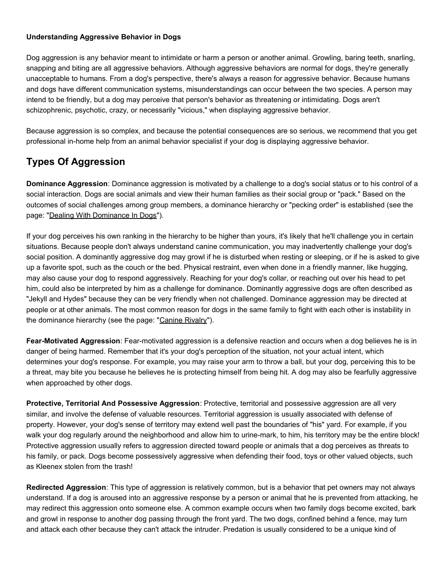#### **Understanding Aggressive Behavior in Dogs**

Dog aggression is any behavior meant to intimidate or harm a person or another animal. Growling, baring teeth, snarling, snapping and biting are all aggressive behaviors. Although aggressive behaviors are normal for dogs, they're generally unacceptable to humans. From a dog's perspective, there's always a reason for aggressive behavior. Because humans and dogs have different communication systems, misunderstandings can occur between the two species. A person may intend to be friendly, but a dog may perceive that person's behavior as threatening or intimidating. Dogs aren't schizophrenic, psychotic, crazy, or necessarily "vicious," when displaying aggressive behavior.

Because aggression is so complex, and because the potential consequences are so serious, we recommend that you get professional in-home help from an animal behavior specialist if your dog is displaying aggressive behavior.

## **Types Of Aggression**

**Dominance Aggression**: Dominance aggression is motivated by a challenge to a dog's social status or to his control of a social interaction. Dogs are social animals and view their human families as their social group or "pack." Based on the outcomes of social challenges among group members, a dominance hierarchy or "pecking order" is established (see the page: ["Dealing With Dominance In Dogs"](http://www.idahohumanesociety.org/caretrainingtips.cfm?filename=dominance)).

If your dog perceives his own ranking in the hierarchy to be higher than yours, it's likely that he'll challenge you in certain situations. Because people don't always understand canine communication, you may inadvertently challenge your dog's social position. A dominantly aggressive dog may growl if he is disturbed when resting or sleeping, or if he is asked to give up a favorite spot, such as the couch or the bed. Physical restraint, even when done in a friendly manner, like hugging, may also cause your dog to respond aggressively. Reaching for your dog's collar, or reaching out over his head to pet him, could also be interpreted by him as a challenge for dominance. Dominantly aggressive dogs are often described as "Jekyll and Hydes" because they can be very friendly when not challenged. Dominance aggression may be directed at people or at other animals. The most common reason for dogs in the same family to fight with each other is instability in the dominance hierarchy (see the page: ["Canine Rivalry"](http://www.idahohumanesociety.org/caretrainingtips.cfm?filename=rivalry)).

**Fear-Motivated Aggression**: Fear-motivated aggression is a defensive reaction and occurs when a dog believes he is in danger of being harmed. Remember that it's your dog's perception of the situation, not your actual intent, which determines your dog's response. For example, you may raise your arm to throw a ball, but your dog, perceiving this to be a threat, may bite you because he believes he is protecting himself from being hit. A dog may also be fearfully aggressive when approached by other dogs.

**Protective, Territorial And Possessive Aggression**: Protective, territorial and possessive aggression are all very similar, and involve the defense of valuable resources. Territorial aggression is usually associated with defense of property. However, your dog's sense of territory may extend well past the boundaries of "his" yard. For example, if you walk your dog regularly around the neighborhood and allow him to urine-mark, to him, his territory may be the entire block! Protective aggression usually refers to aggression directed toward people or animals that a dog perceives as threats to his family, or pack. Dogs become possessively aggressive when defending their food, toys or other valued objects, such as Kleenex stolen from the trash!

**Redirected Aggression**: This type of aggression is relatively common, but is a behavior that pet owners may not always understand. If a dog is aroused into an aggressive response by a person or animal that he is prevented from attacking, he may redirect this aggression onto someone else. A common example occurs when two family dogs become excited, bark and growl in response to another dog passing through the front yard. The two dogs, confined behind a fence, may turn and attack each other because they can't attack the intruder. Predation is usually considered to be a unique kind of